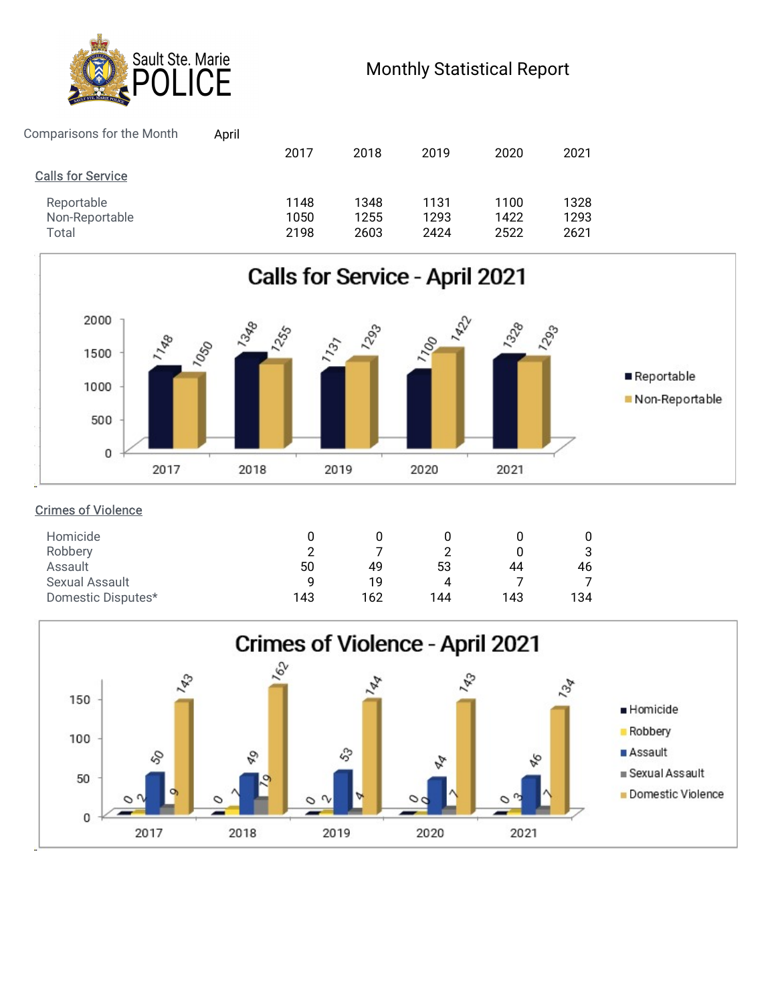

## Monthly Statistical Report

| Sault Ste. Marie                                      |                    |      |      |      | <b>Monthly Statistical Report</b> |      |  |  |
|-------------------------------------------------------|--------------------|------|------|------|-----------------------------------|------|--|--|
| Comparisons for the Month<br><b>Calls for Service</b> | <b>CE</b><br>April | 2017 | 2018 | 2019 | 2020                              | 2021 |  |  |



## Crimes of Violence

| Homicide           |     |     |        |     |     |
|--------------------|-----|-----|--------|-----|-----|
| Robbery            | ◠   |     | ◠<br>∸ |     | చ   |
| Assault            | 50  | 49  | 53     | 44  | 46  |
| Sexual Assault     | a   | 19  | 4      |     |     |
| Domestic Disputes* | 143 | 162 | 144    | 143 | 134 |